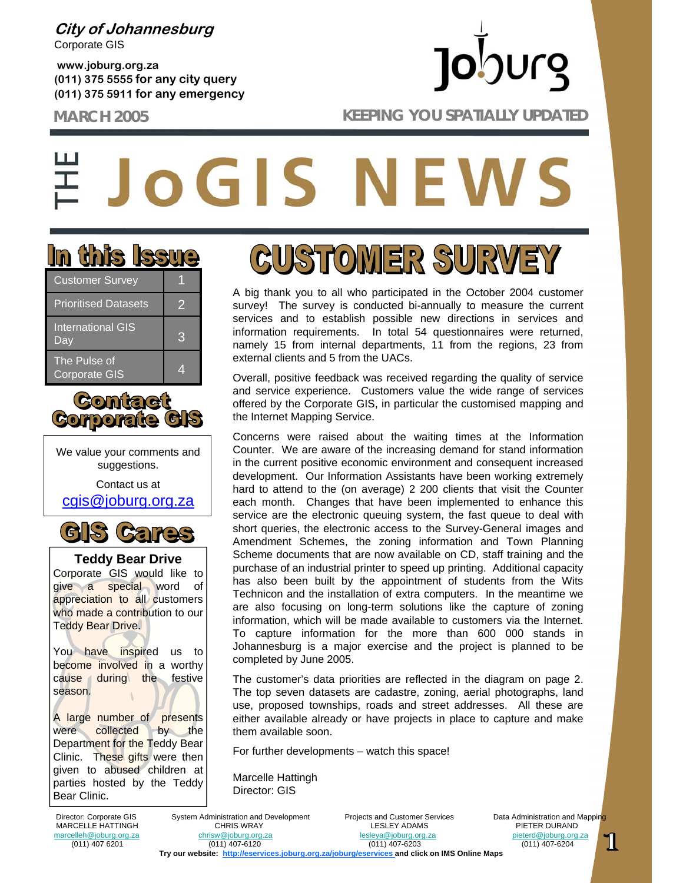**City of Johannesburg** Corporate GIS

**www.joburg.org.za (011) 375 5555 for any city query (011) 375 5911 for any emergency**

## **Jo**burg **MARCH 2005 KEEPING YOU SPATIALLY UPDATED**

# **OGIS NEWS**



| <b>Customer Survey</b>               |   |
|--------------------------------------|---|
| <b>Prioritised Datasets</b>          | 2 |
| <b>International GIS</b><br>Day      | 3 |
| The Pulse of<br><b>Corporate GIS</b> |   |



We value your comments and suggestions.

Contact us at cgis@joburg.org.za



**Teddy Bear Drive** Corporate GIS would like to give a special word of appreciation to all customers who made a contribution to our Teddy Bear Drive.

You have inspired us to become involved in a worthy cause during the festive season.

A large number of presents were collected by the Department for the Teddy Bear Clinic. These gifts were then given to abused children at parties hosted by the Teddy Bear Clinic.

**GUSTOMER SURVEY** 

A big thank you to all who participated in the October 2004 customer survey! The survey is conducted bi-annually to measure the current services and to establish possible new directions in services and information requirements. In total 54 questionnaires were returned, namely 15 from internal departments, 11 from the regions, 23 from external clients and 5 from the UACs.

Overall, positive feedback was received regarding the quality of service and service experience. Customers value the wide range of services offered by the Corporate GIS, in particular the customised mapping and the Internet Mapping Service.

Concerns were raised about the waiting times at the Information Counter. We are aware of the increasing demand for stand information in the current positive economic environment and consequent increased development. Our Information Assistants have been working extremely hard to attend to the (on average) 2 200 clients that visit the Counter each month. Changes that have been implemented to enhance this service are the electronic queuing system, the fast queue to deal with short queries, the electronic access to the Survey-General images and Amendment Schemes, the zoning information and Town Planning Scheme documents that are now available on CD, staff training and the purchase of an industrial printer to speed up printing. Additional capacity has also been built by the appointment of students from the Wits Technicon and the installation of extra computers. In the meantime we are also focusing on long-term solutions like the capture of zoning information, which will be made available to customers via the Internet. To capture information for the more than 600 000 stands in Johannesburg is a major exercise and the project is planned to be completed by June 2005.

The customer's data priorities are reflected in the diagram on page 2. The top seven datasets are cadastre, zoning, aerial photographs, land use, proposed townships, roads and street addresses. All these are either available already or have projects in place to capture and make them available soon.

For further developments – watch this space!

Marcelle Hattingh Director: GIS

Director: Corporate GIS System Administration and Development Projects and Customer Services Data Administration and Mapping<br>MARCELLE HATTINGH CHRIS WRAY LESLEY ADAMS PIETER DURAND MARCELLE HATTINGH CHRIS WRAY LESLEY ADAMS PIETER DURAND<br>The christ of the christ christ christ contract and christ pieter of the christ christ christ christ christ ch<br>Pesteya@joburg.org.za pieterd@joburg.org.za marcelleh@joburg.org.za chrisw@joburg.org.za lesleya@joburg.org.za pieterd@joburg.org.za (011) 407 6201 (011) 407-6120 (011) 407-6203 (011) 407-6204 **Try our website: http://eservices.joburg.org.za/joburg/eservices and click on IMS Online Maps**

11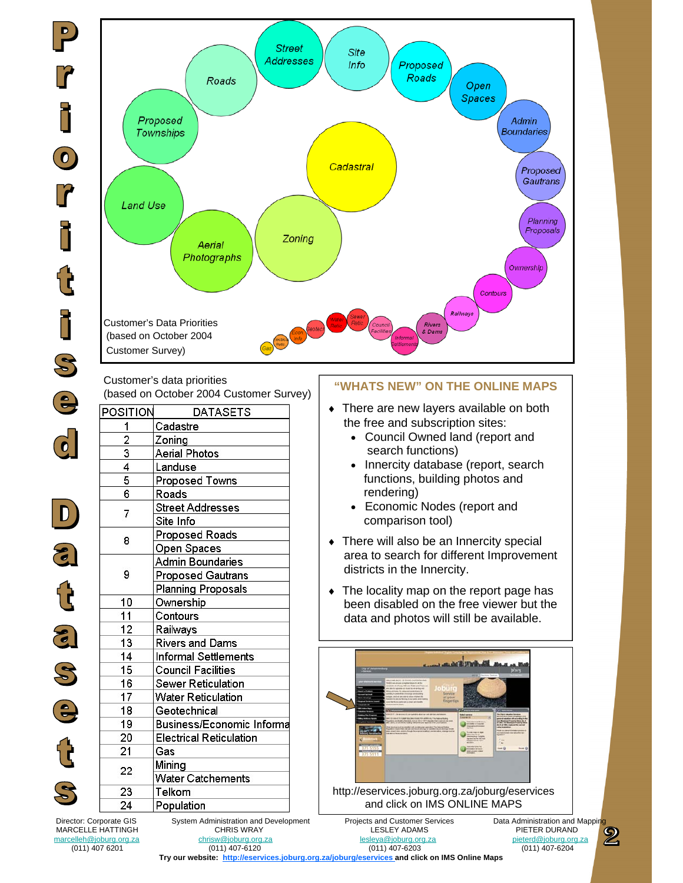$\overline{\bullet}$ 

 $\begin{array}{c} \hline \end{array}$ 

 $\mathbf{d}$ 

 $\mathcal{S}% _{M_{1},M_{2}}^{\alpha,\beta}(\varepsilon)$ 

 $\ddot{\bm{e}}$ 

()<br>โ



Customer's data priorities (based on October 2004 Customer Survey) **"WHATS NEW" ON THE ONLINE MAPS**

| POSITION        | <b>DATASETS</b>                  |
|-----------------|----------------------------------|
| 1               | Cadastre                         |
|                 | Zoning                           |
| $\frac{2}{3}$   | <b>Aerial Photos</b>             |
| $\overline{4}$  | Landuse                          |
| 5               | <b>Proposed Towns</b>            |
| $\overline{6}$  | Roads                            |
| $\overline{7}$  | <b>Street Addresses</b>          |
|                 | Site Info                        |
| 8               | <b>Proposed Roads</b>            |
|                 | Open Spaces                      |
| 9               | <b>Admin Boundaries</b>          |
|                 | <b>Proposed Gautrans</b>         |
|                 | <b>Planning Proposals</b>        |
| 10              | Ownership                        |
| 11              | Contours                         |
| 12              | Railways                         |
| $\overline{13}$ | <b>Rivers and Dams</b>           |
| 14              | <b>Informal Settlements</b>      |
| 15              | <b>Council Facilities</b>        |
| 16              | <b>Sewer Reticulation</b>        |
| $\overline{17}$ | <b>Water Reticulation</b>        |
| $\overline{18}$ | Geotechnical                     |
| 19              | <b>Business/Economic Informa</b> |
| 20              | <b>Electrical Reticulation</b>   |
| 21              | Gas                              |
| 22              | Mining                           |
|                 | <b>Water Catchements</b>         |
| 23              | Telkom                           |
| 24              | Population                       |

- ♦ There are new layers available on both the free and subscription sites:
	- Council Owned land (report and search functions)
	- Innercity database (report, search functions, building photos and rendering)
	- Economic Nodes (report and comparison tool)
- ♦ There will also be an Innercity special area to search for different Improvement districts in the Innercity.
- $\bullet$  The locality map on the report page has been disabled on the free viewer but the data and photos will still be available.



and click on IMS ONLINE MAPS

Director: Corporate GIS System Administration and Development Projects and Customer Services Data Administration and Mapping<br>MARCELLE HATTINGH CHRIS WRAY LESLEY ADAMS PIETER DURAND MARCELLE HATTINGH CHRIS WRAY LESLEY ADAMS PIETER DURAND

(011) 407 6201 (011) 407-6120 (011) 407-6203 (011) 407-6204

marcelleh@joburg.org.za

**Try our website: http://eservices.joburg.org.za/joburg/eservices and click on IMS Online Maps**

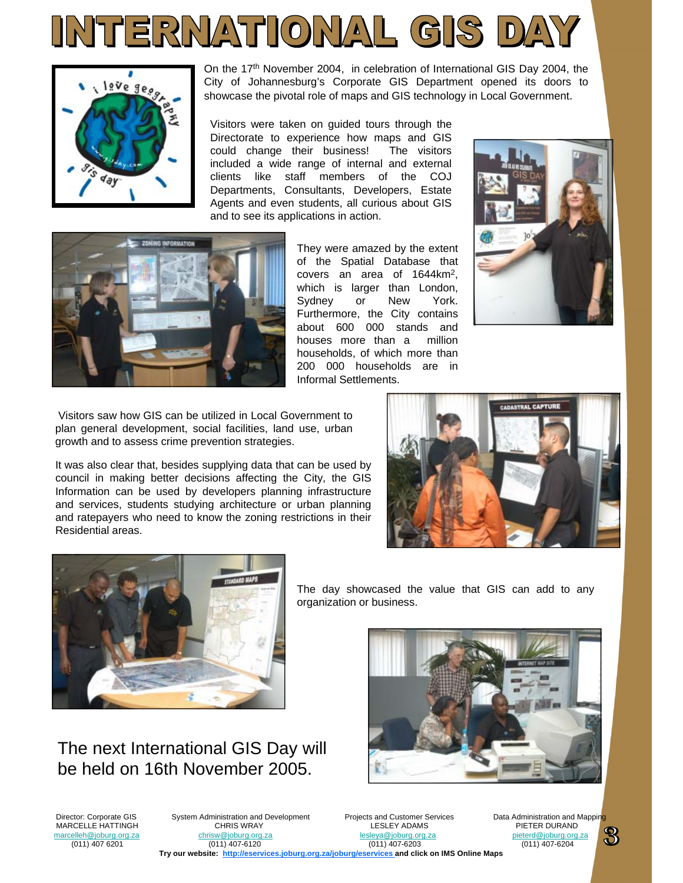



On the 17th November 2004, in celebration of International GIS Day 2004, the City of Johannesburg's Corporate GIS Department opened its doors to showcase the pivotal role of maps and GIS technology in Local Government.

Visitors were taken on guided tours through the Directorate to experience how maps and GIS could change their business! The visitors included a wide range of internal and external clients like staff members of the COJ Departments, Consultants, Developers, Estate Agents and even students, all curious about GIS and to see its applications in action.



They were amazed by the extent of the Spatial Database that covers an area of 1644km2, which is larger than London. Sydney or New York. Furthermore, the City contains about 600 000 stands and houses more than a million households, of which more than 200 000 households are in Informal Settlements.



Visitors saw how GIS can be utilized in Local Government to plan general development, social facilities, land use, urban growth and to assess crime prevention strategies.

It was also clear that, besides supplying data that can be used by council in making better decisions affecting the City, the GIS Information can be used by developers planning infrastructure and services, students studying architecture or urban planning and ratepayers who need to know the zoning restrictions in their Residential areas.





The day showcased the value that GIS can add to any organization or business.



The next International GIS Day will be held on 16th November 2005.